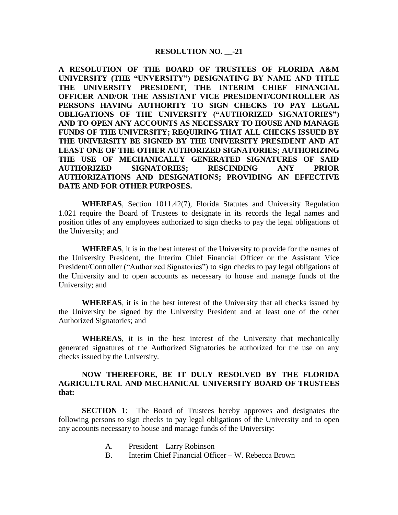## **RESOLUTION NO.** -21

**A RESOLUTION OF THE BOARD OF TRUSTEES OF FLORIDA A&M UNIVERSITY (THE "UNVERSITY") DESIGNATING BY NAME AND TITLE THE UNIVERSITY PRESIDENT, THE INTERIM CHIEF FINANCIAL OFFICER AND/OR THE ASSISTANT VICE PRESIDENT/CONTROLLER AS PERSONS HAVING AUTHORITY TO SIGN CHECKS TO PAY LEGAL OBLIGATIONS OF THE UNIVERSITY ("AUTHORIZED SIGNATORIES") AND TO OPEN ANY ACCOUNTS AS NECESSARY TO HOUSE AND MANAGE FUNDS OF THE UNIVERSITY; REQUIRING THAT ALL CHECKS ISSUED BY THE UNIVERSITY BE SIGNED BY THE UNIVERSITY PRESIDENT AND AT LEAST ONE OF THE OTHER AUTHORIZED SIGNATORIES; AUTHORIZING THE USE OF MECHANICALLY GENERATED SIGNATURES OF SAID AUTHORIZED SIGNATORIES; RESCINDING ANY PRIOR AUTHORIZATIONS AND DESIGNATIONS; PROVIDING AN EFFECTIVE DATE AND FOR OTHER PURPOSES.** 

**WHEREAS**, Section 1011.42(7), Florida Statutes and University Regulation 1.021 require the Board of Trustees to designate in its records the legal names and position titles of any employees authorized to sign checks to pay the legal obligations of the University; and

**WHEREAS**, it is in the best interest of the University to provide for the names of the University President, the Interim Chief Financial Officer or the Assistant Vice President/Controller ("Authorized Signatories") to sign checks to pay legal obligations of the University and to open accounts as necessary to house and manage funds of the University; and

**WHEREAS**, it is in the best interest of the University that all checks issued by the University be signed by the University President and at least one of the other Authorized Signatories; and

**WHEREAS**, it is in the best interest of the University that mechanically generated signatures of the Authorized Signatories be authorized for the use on any checks issued by the University.

## **NOW THEREFORE, BE IT DULY RESOLVED BY THE FLORIDA AGRICULTURAL AND MECHANICAL UNIVERSITY BOARD OF TRUSTEES that:**

**SECTION 1**: The Board of Trustees hereby approves and designates the following persons to sign checks to pay legal obligations of the University and to open any accounts necessary to house and manage funds of the University:

- A. President Larry Robinson
- B. Interim Chief Financial Officer W. Rebecca Brown